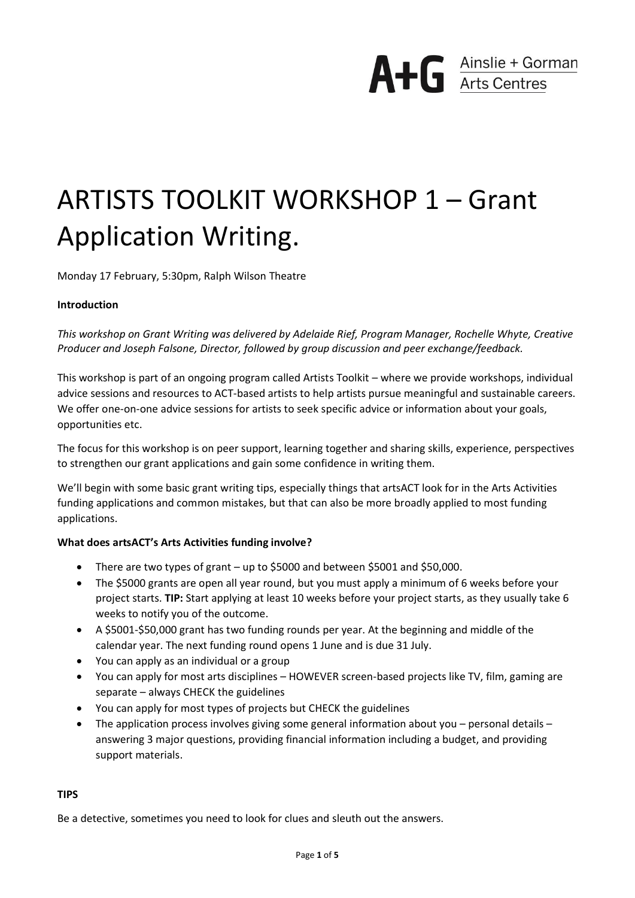

# ARTISTS TOOLKIT WORKSHOP 1 – Grant Application Writing.

Monday 17 February, 5:30pm, Ralph Wilson Theatre

#### **Introduction**

*This workshop on Grant Writing was delivered by Adelaide Rief, Program Manager, Rochelle Whyte, Creative Producer and Joseph Falsone, Director, followed by group discussion and peer exchange/feedback.*

This workshop is part of an ongoing program called Artists Toolkit – where we provide workshops, individual advice sessions and resources to ACT-based artists to help artists pursue meaningful and sustainable careers. We offer one-on-one advice sessions for artists to seek specific advice or information about your goals, opportunities etc.

The focus for this workshop is on peer support, learning together and sharing skills, experience, perspectives to strengthen our grant applications and gain some confidence in writing them.

We'll begin with some basic grant writing tips, especially things that artsACT look for in the Arts Activities funding applications and common mistakes, but that can also be more broadly applied to most funding applications.

#### **What does artsACT's Arts Activities funding involve?**

- There are two types of grant up to \$5000 and between \$5001 and \$50,000.
- The \$5000 grants are open all year round, but you must apply a minimum of 6 weeks before your project starts. **TIP:** Start applying at least 10 weeks before your project starts, as they usually take 6 weeks to notify you of the outcome.
- A \$5001-\$50,000 grant has two funding rounds per year. At the beginning and middle of the calendar year. The next funding round opens 1 June and is due 31 July.
- You can apply as an individual or a group
- You can apply for most arts disciplines HOWEVER screen-based projects like TV, film, gaming are separate – always CHECK the guidelines
- You can apply for most types of projects but CHECK the guidelines
- The application process involves giving some general information about you personal details answering 3 major questions, providing financial information including a budget, and providing support materials.

#### **TIPS**

Be a detective, sometimes you need to look for clues and sleuth out the answers.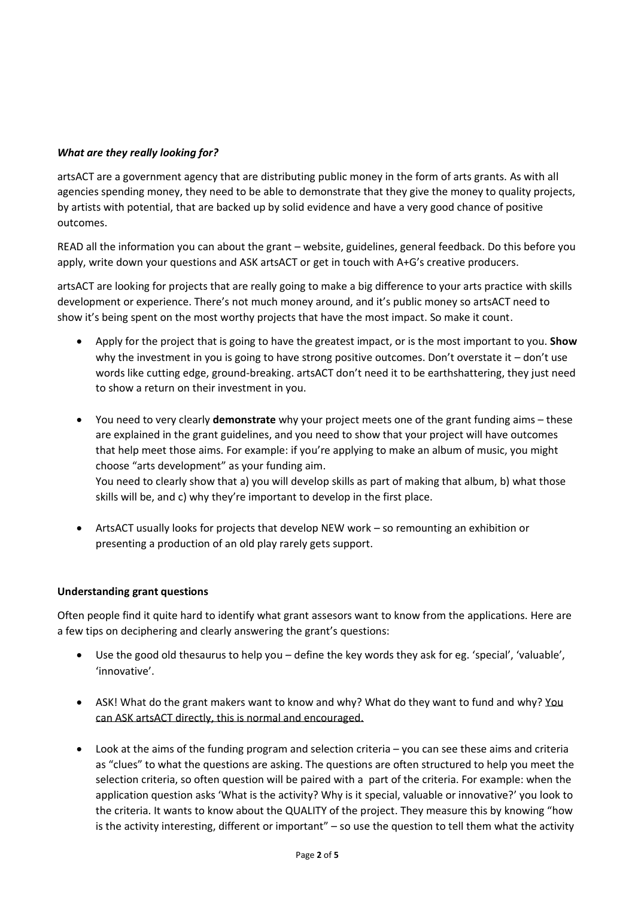# *What are they really looking for?*

artsACT are a government agency that are distributing public money in the form of arts grants. As with all agencies spending money, they need to be able to demonstrate that they give the money to quality projects, by artists with potential, that are backed up by solid evidence and have a very good chance of positive outcomes.

READ all the information you can about the grant – website, guidelines, general feedback. Do this before you apply, write down your questions and ASK artsACT or get in touch with A+G's creative producers.

artsACT are looking for projects that are really going to make a big difference to your arts practice with skills development or experience. There's not much money around, and it's public money so artsACT need to show it's being spent on the most worthy projects that have the most impact. So make it count.

- Apply for the project that is going to have the greatest impact, or is the most important to you. **Show** why the investment in you is going to have strong positive outcomes. Don't overstate it – don't use words like cutting edge, ground-breaking. artsACT don't need it to be earthshattering, they just need to show a return on their investment in you.
- You need to very clearly **demonstrate** why your project meets one of the grant funding aims these are explained in the grant guidelines, and you need to show that your project will have outcomes that help meet those aims. For example: if you're applying to make an album of music, you might choose "arts development" as your funding aim. You need to clearly show that a) you will develop skills as part of making that album, b) what those skills will be, and c) why they're important to develop in the first place.
- ArtsACT usually looks for projects that develop NEW work so remounting an exhibition or presenting a production of an old play rarely gets support.

# **Understanding grant questions**

Often people find it quite hard to identify what grant assesors want to know from the applications. Here are a few tips on deciphering and clearly answering the grant's questions:

- Use the good old thesaurus to help you define the key words they ask for eg. 'special', 'valuable', 'innovative'.
- ASK! What do the grant makers want to know and why? What do they want to fund and why? You can ASK artsACT directly, this is normal and encouraged.
- Look at the aims of the funding program and selection criteria you can see these aims and criteria as "clues" to what the questions are asking. The questions are often structured to help you meet the selection criteria, so often question will be paired with a part of the criteria. For example: when the application question asks 'What is the activity? Why is it special, valuable or innovative?' you look to the criteria. It wants to know about the QUALITY of the project. They measure this by knowing "how is the activity interesting, different or important" – so use the question to tell them what the activity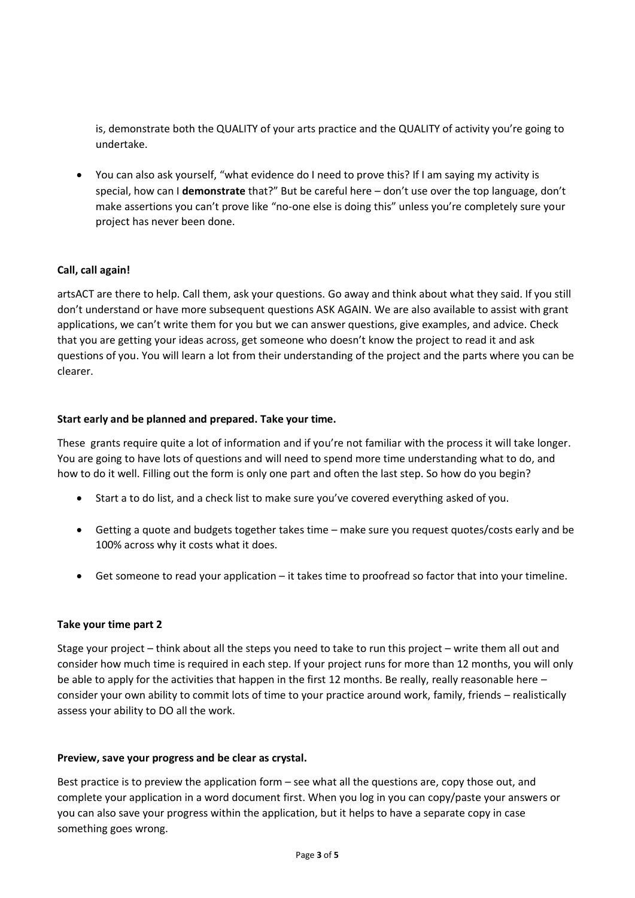is, demonstrate both the QUALITY of your arts practice and the QUALITY of activity you're going to undertake.

• You can also ask yourself, "what evidence do I need to prove this? If I am saying my activity is special, how can I **demonstrate** that?" But be careful here – don't use over the top language, don't make assertions you can't prove like "no-one else is doing this" unless you're completely sure your project has never been done.

# **Call, call again!**

artsACT are there to help. Call them, ask your questions. Go away and think about what they said. If you still don't understand or have more subsequent questions ASK AGAIN. We are also available to assist with grant applications, we can't write them for you but we can answer questions, give examples, and advice. Check that you are getting your ideas across, get someone who doesn't know the project to read it and ask questions of you. You will learn a lot from their understanding of the project and the parts where you can be clearer.

## **Start early and be planned and prepared. Take your time.**

These grants require quite a lot of information and if you're not familiar with the process it will take longer. You are going to have lots of questions and will need to spend more time understanding what to do, and how to do it well. Filling out the form is only one part and often the last step. So how do you begin?

- Start a to do list, and a check list to make sure you've covered everything asked of you.
- Getting a quote and budgets together takes time make sure you request quotes/costs early and be 100% across why it costs what it does.
- Get someone to read your application it takes time to proofread so factor that into your timeline.

#### **Take your time part 2**

Stage your project – think about all the steps you need to take to run this project – write them all out and consider how much time is required in each step. If your project runs for more than 12 months, you will only be able to apply for the activities that happen in the first 12 months. Be really, really reasonable here – consider your own ability to commit lots of time to your practice around work, family, friends – realistically assess your ability to DO all the work.

#### **Preview, save your progress and be clear as crystal.**

Best practice is to preview the application form – see what all the questions are, copy those out, and complete your application in a word document first. When you log in you can copy/paste your answers or you can also save your progress within the application, but it helps to have a separate copy in case something goes wrong.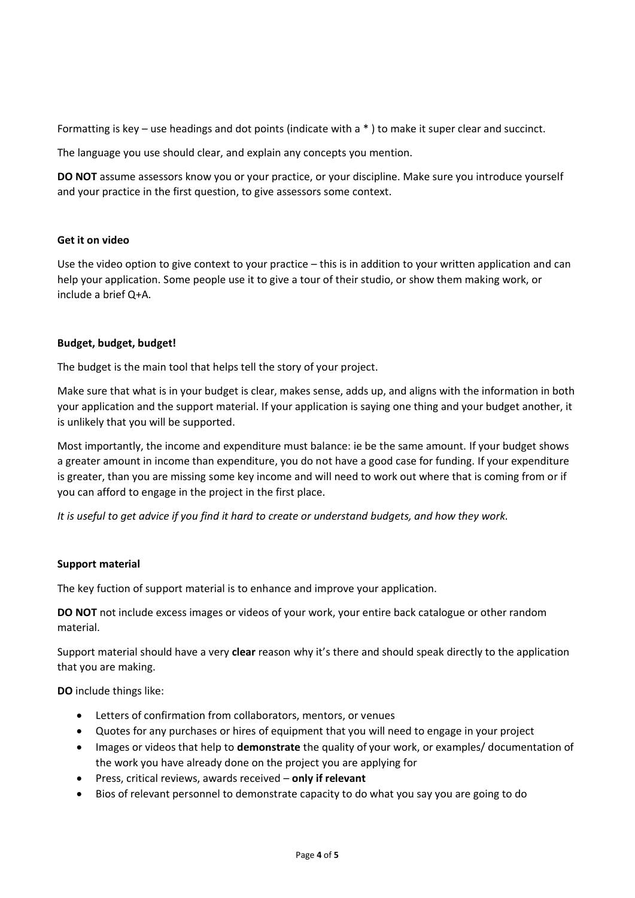Formatting is key – use headings and dot points (indicate with a \* ) to make it super clear and succinct.

The language you use should clear, and explain any concepts you mention.

**DO NOT** assume assessors know you or your practice, or your discipline. Make sure you introduce yourself and your practice in the first question, to give assessors some context.

## **Get it on video**

Use the video option to give context to your practice – this is in addition to your written application and can help your application. Some people use it to give a tour of their studio, or show them making work, or include a brief Q+A.

# **Budget, budget, budget!**

The budget is the main tool that helps tell the story of your project.

Make sure that what is in your budget is clear, makes sense, adds up, and aligns with the information in both your application and the support material. If your application is saying one thing and your budget another, it is unlikely that you will be supported.

Most importantly, the income and expenditure must balance: ie be the same amount. If your budget shows a greater amount in income than expenditure, you do not have a good case for funding. If your expenditure is greater, than you are missing some key income and will need to work out where that is coming from or if you can afford to engage in the project in the first place.

*It is useful to get advice if you find it hard to create or understand budgets, and how they work.*

# **Support material**

The key fuction of support material is to enhance and improve your application.

**DO NOT** not include excess images or videos of your work, your entire back catalogue or other random material.

Support material should have a very **clear** reason why it's there and should speak directly to the application that you are making.

**DO** include things like:

- Letters of confirmation from collaborators, mentors, or venues
- Quotes for any purchases or hires of equipment that you will need to engage in your project
- Images or videos that help to **demonstrate** the quality of your work, or examples/ documentation of the work you have already done on the project you are applying for
- Press, critical reviews, awards received **only if relevant**
- Bios of relevant personnel to demonstrate capacity to do what you say you are going to do